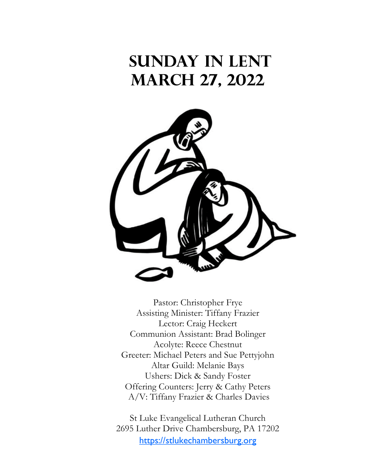# **Sunday in Lent March 27, 2022**



Pastor: Christopher Frye Assisting Minister: Tiffany Frazier Lector: Craig Heckert Communion Assistant: Brad Bolinger Acolyte: Reece Chestnut Greeter: Michael Peters and Sue Pettyjohn Altar Guild: Melanie Bays Ushers: Dick & Sandy Foster Offering Counters: Jerry & Cathy Peters A/V: Tiffany Frazier & Charles Davies

St Luke Evangelical Lutheran Church 2695 Luther Drive Chambersburg, PA 17202 <https://stlukechambersburg.org>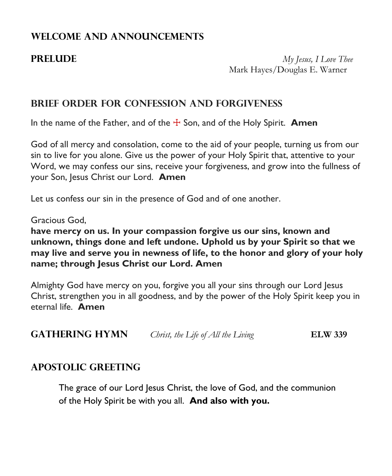# **WELCOME AND ANNOUNCEMENTS**

**PRELUDE** *My Jesus, I Love Thee* Mark Hayes/Douglas E. Warner

# **BRIEF ORDER FOR CONFESSION AND FORGIVENESS**

In the name of the Father, and of the  $\pm$  Son, and of the Holy Spirit. **Amen** 

God of all mercy and consolation, come to the aid of your people, turning us from our sin to live for you alone. Give us the power of your Holy Spirit that, attentive to your Word, we may confess our sins, receive your forgiveness, and grow into the fullness of your Son, Jesus Christ our Lord. **Amen**

Let us confess our sin in the presence of God and of one another.

### Gracious God,

**have mercy on us. In your compassion forgive us our sins, known and unknown, things done and left undone. Uphold us by your Spirit so that we may live and serve you in newness of life, to the honor and glory of your holy name; through Jesus Christ our Lord. Amen**

Almighty God have mercy on you, forgive you all your sins through our Lord Jesus Christ, strengthen you in all goodness, and by the power of the Holy Spirit keep you in eternal life. **Amen**

**GATHERING HYMN** *Christ, the Life of All the Living* **ELW 339** 

# **APOSTOLIC GREETING**

The grace of our Lord Jesus Christ, the love of God, and the communion of the Holy Spirit be with you all. **And also with you.**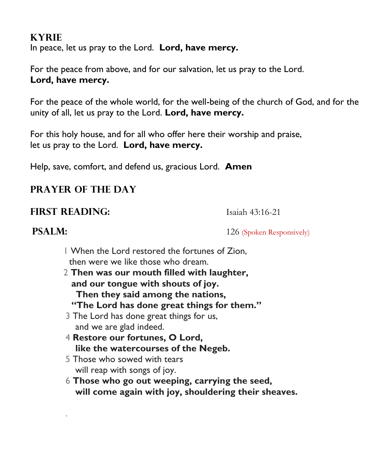# **KYRIE**

In peace, let us pray to the Lord. **Lord, have mercy.**

For the peace from above, and for our salvation, let us pray to the Lord. **Lord, have mercy.**

For the peace of the whole world, for the well-being of the church of God, and for the unity of all, let us pray to the Lord. **Lord, have mercy.**

For this holy house, and for all who offer here their worship and praise, let us pray to the Lord. **Lord, have mercy.**

Help, save, comfort, and defend us, gracious Lord. **Amen**

# **PRAYER OF THE DAY**

# **FIRST READING:** Isaiah 43:16-21

.

**PSALM:**  $126$  (Spoken Responsively)

- 1 When the Lord restored the fortunes of Zion, then were we like those who dream.
- 2 **Then was our mouth filled with laughter, and our tongue with shouts of joy. Then they said among the nations, "The Lord has done great things for them."**
- 3 The Lord has done great things for us, and we are glad indeed.
- 4 **Restore our fortunes, O Lord, like the watercourses of the Negeb.**
- 5 Those who sowed with tears will reap with songs of joy.
- 6 **Those who go out weeping, carrying the seed, will come again with joy, shouldering their sheaves.**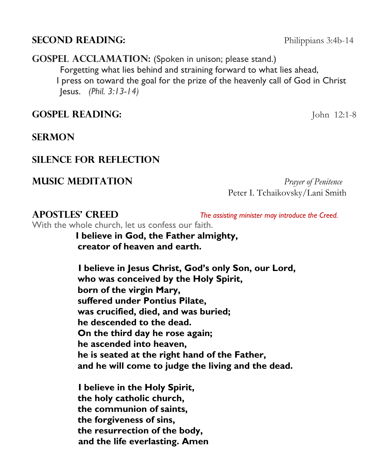# **SECOND READING:** Philippians 3:4b-14

**GOSPEL ACCLAMATION:** (Spoken in unison; please stand.) Forgetting what lies behind and straining forward to what lies ahead, I press on toward the goal for the prize of the heavenly call of God in Christ Jesus. *(Phil. 3:13-14)*

**GOSPEL READING:** John 12:1-8

**SERMON** 

# **Silence for Reflection**

**Music Meditation** *Prayer of Penitence*

Peter I. Tchaikovsky/Lani Smith

**APOSTLES' CREED** *The assisting minister may introduce the Creed.*

With the whole church, let us confess our faith.

 **I believe in God, the Father almighty, creator of heaven and earth.**

 **I believe in Jesus Christ, God's only Son, our Lord, who was conceived by the Holy Spirit, born of the virgin Mary, suffered under Pontius Pilate, was crucified, died, and was buried; he descended to the dead. On the third day he rose again; he ascended into heaven, he is seated at the right hand of the Father, and he will come to judge the living and the dead.**

 **I believe in the Holy Spirit, the holy catholic church, the communion of saints, the forgiveness of sins, the resurrection of the body, and the life everlasting. Amen**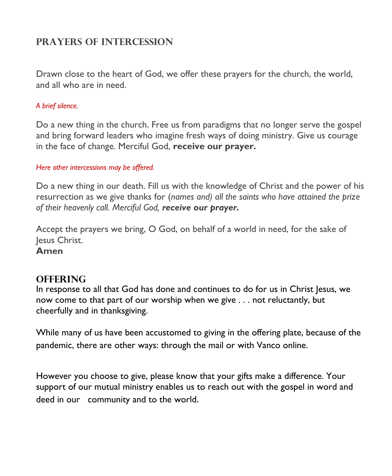# **Prayers of Intercession**

Drawn close to the heart of God, we offer these prayers for the church, the world, and all who are in need.

### *A brief silence.*

Do a new thing in the church. Free us from paradigms that no longer serve the gospel and bring forward leaders who imagine fresh ways of doing ministry. Give us courage in the face of change. Merciful God, **receive our prayer.**

### *Here other intercessions may be offered.*

Do a new thing in our death. Fill us with the knowledge of Christ and the power of his resurrection as we give thanks for (*names and) all the saints who have attained the prize of their heavenly call. Merciful God, receive our prayer.*

Accept the prayers we bring, O God, on behalf of a world in need, for the sake of Jesus Christ.

**Amen**

# **OFFERING**

In response to all that God has done and continues to do for us in Christ Jesus, we now come to that part of our worship when we give . . . not reluctantly, but cheerfully and in thanksgiving.

While many of us have been accustomed to giving in the offering plate, because of the pandemic, there are other ways: through the mail or with Vanco online.

However you choose to give, please know that your gifts make a difference. Your support of our mutual ministry enables us to reach out with the gospel in word and deed in our community and to the world.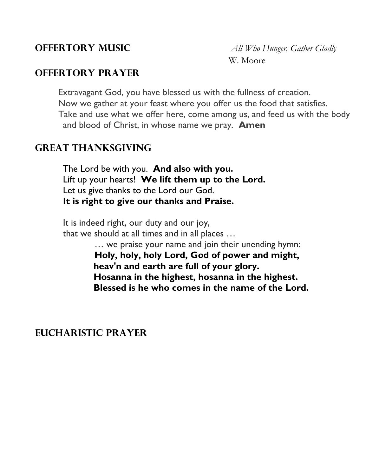# **OFFERTORY PRAYER**

Extravagant God, you have blessed us with the fullness of creation. Now we gather at your feast where you offer us the food that satisfies. Take and use what we offer here, come among us, and feed us with the body and blood of Christ, in whose name we pray. **Amen**

# **GREAT THANKSGIVING**

The Lord be with you. **And also with you.** Lift up your hearts! **We lift them up to the Lord.** Let us give thanks to the Lord our God. **It is right to give our thanks and Praise.**

It is indeed right, our duty and our joy, that we should at all times and in all places … … we praise your name and join their unending hymn:

**Holy, holy, holy Lord, God of power and might, heav'n and earth are full of your glory. Hosanna in the highest, hosanna in the highest. Blessed is he who comes in the name of the Lord.**

**EUCHARISTIC PRAYER**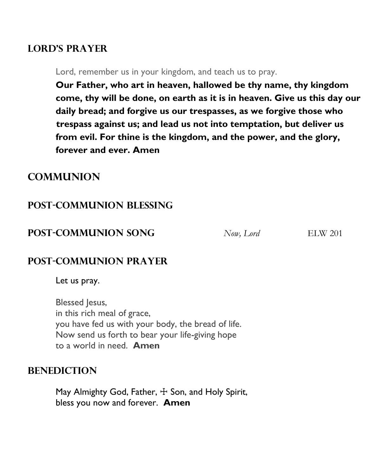# **LORD'S PRAYER**

Lord, remember us in your kingdom, and teach us to pray.

**Our Father, who art in heaven, hallowed be thy name, thy kingdom come, thy will be done, on earth as it is in heaven. Give us this day our daily bread; and forgive us our trespasses, as we forgive those who trespass against us; and lead us not into temptation, but deliver us from evil. For thine is the kingdom, and the power, and the glory, forever and ever. Amen**

# **COMMUNION**

# **POST-COMMUNION Blessing**

# **POST-COMMUNION SONG** *Now, Lord* ELW 201

# **POST-COMMUNION PRAYER**

Let us pray.

Blessed Jesus, in this rich meal of grace, you have fed us with your body, the bread of life. Now send us forth to bear your life-giving hope to a world in need. **Amen**

# **Benediction**

May Almighty God, Father,  $+$  Son, and Holy Spirit, bless you now and forever. **Amen**